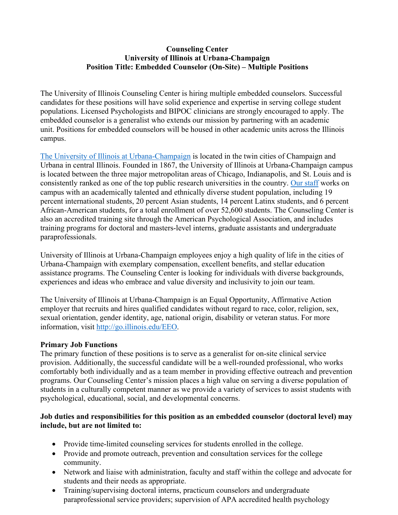### **Counseling Center University of Illinois at Urbana-Champaign Position Title: Embedded Counselor (On-Site) – Multiple Positions**

The University of Illinois Counseling Center is hiring multiple embedded counselors. Successful candidates for these positions will have solid experience and expertise in serving college student populations. Licensed Psychologists and BIPOC clinicians are strongly encouraged to apply. The embedded counselor is a generalist who extends our mission by partnering with an academic unit. Positions for embedded counselors will be housed in other academic units across the Illinois campus.

[The University of Illinois at Urbana-Champaign](https://www.youtube.com/watch?v=jtdHuXcu3J0&t=316s) is located in the twin cities of Champaign and Urbana in central Illinois. Founded in 1867, the University of Illinois at Urbana-Champaign campus is located between the three major metropolitan areas of Chicago, Indianapolis, and St. Louis and is consistently ranked as one of the top public research universities in the country. [Our staff](https://counselingcenter.illinois.edu/about-us/our-staff) works on campus with an academically talented and ethnically diverse student population, including 19 percent international students, 20 percent Asian students, 14 percent Latinx students, and 6 percent African-American students, for a total enrollment of over 52,600 students. The Counseling Center is also an accredited training site through the American Psychological Association, and includes training programs for doctoral and masters-level interns, graduate assistants and undergraduate paraprofessionals.

University of Illinois at Urbana-Champaign employees enjoy a high quality of life in the cities of Urbana-Champaign with exemplary compensation, excellent benefits, and stellar education assistance programs. The Counseling Center is looking for individuals with diverse backgrounds, experiences and ideas who embrace and value diversity and inclusivity to join our team.

The University of Illinois at Urbana-Champaign is an Equal Opportunity, Affirmative Action employer that recruits and hires qualified candidates without regard to race, color, religion, sex, sexual orientation, gender identity, age, national origin, disability or veteran status. For more information, visit [http://go.illinois.edu/EEO.](http://go.illinois.edu/EEO)

#### **Primary Job Functions**

The primary function of these positions is to serve as a generalist for on-site clinical service provision. Additionally, the successful candidate will be a well-rounded professional, who works comfortably both individually and as a team member in providing effective outreach and prevention programs. Our Counseling Center's mission places a high value on serving a diverse population of students in a culturally competent manner as we provide a variety of services to assist students with psychological, educational, social, and developmental concerns.

# **Job duties and responsibilities for this position as an embedded counselor (doctoral level) may include, but are not limited to:**

- Provide time-limited counseling services for students enrolled in the college.
- Provide and promote outreach, prevention and consultation services for the college community.
- Network and liaise with administration, faculty and staff within the college and advocate for students and their needs as appropriate.
- Training/supervising doctoral interns, practicum counselors and undergraduate paraprofessional service providers; supervision of APA accredited health psychology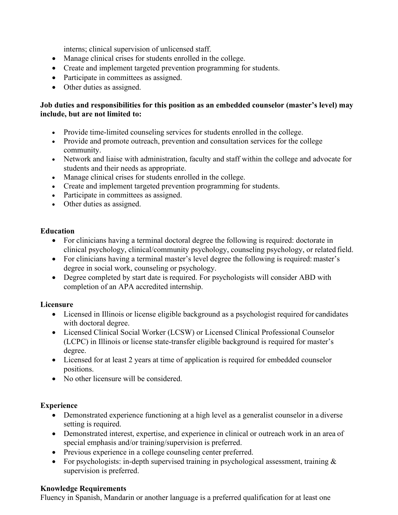interns; clinical supervision of unlicensed staff.

- Manage clinical crises for students enrolled in the college.
- Create and implement targeted prevention programming for students.
- Participate in committees as assigned.
- Other duties as assigned.

# **Job duties and responsibilities for this position as an embedded counselor (master's level) may include, but are not limited to:**

- Provide time-limited counseling services for students enrolled in the college.
- Provide and promote outreach, prevention and consultation services for the college community.
- Network and liaise with administration, faculty and staff within the college and advocate for students and their needs as appropriate.
- Manage clinical crises for students enrolled in the college.
- Create and implement targeted prevention programming for students.
- Participate in committees as assigned.
- Other duties as assigned.

# **Education**

- For clinicians having a terminal doctoral degree the following is required: doctorate in clinical psychology, clinical/community psychology, counseling psychology, or related field.
- For clinicians having a terminal master's level degree the following is required: master's degree in social work, counseling or psychology.
- Degree completed by start date is required. For psychologists will consider ABD with completion of an APA accredited internship.

# **Licensure**

- Licensed in Illinois or license eligible background as a psychologist required for candidates with doctoral degree.
- Licensed Clinical Social Worker (LCSW) or Licensed Clinical Professional Counselor (LCPC) in Illinois or license state-transfer eligible background is required for master's degree.
- Licensed for at least 2 years at time of application is required for embedded counselor positions.
- No other licensure will be considered.

# **Experience**

- Demonstrated experience functioning at a high level as a generalist counselor in a diverse setting is required.
- Demonstrated interest, expertise, and experience in clinical or outreach work in an area of special emphasis and/or training/supervision is preferred.
- Previous experience in a college counseling center preferred.
- For psychologists: in-depth supervised training in psychological assessment, training  $\&$ supervision is preferred.

# **Knowledge Requirements**

Fluency in Spanish, Mandarin or another language is a preferred qualification for at least one